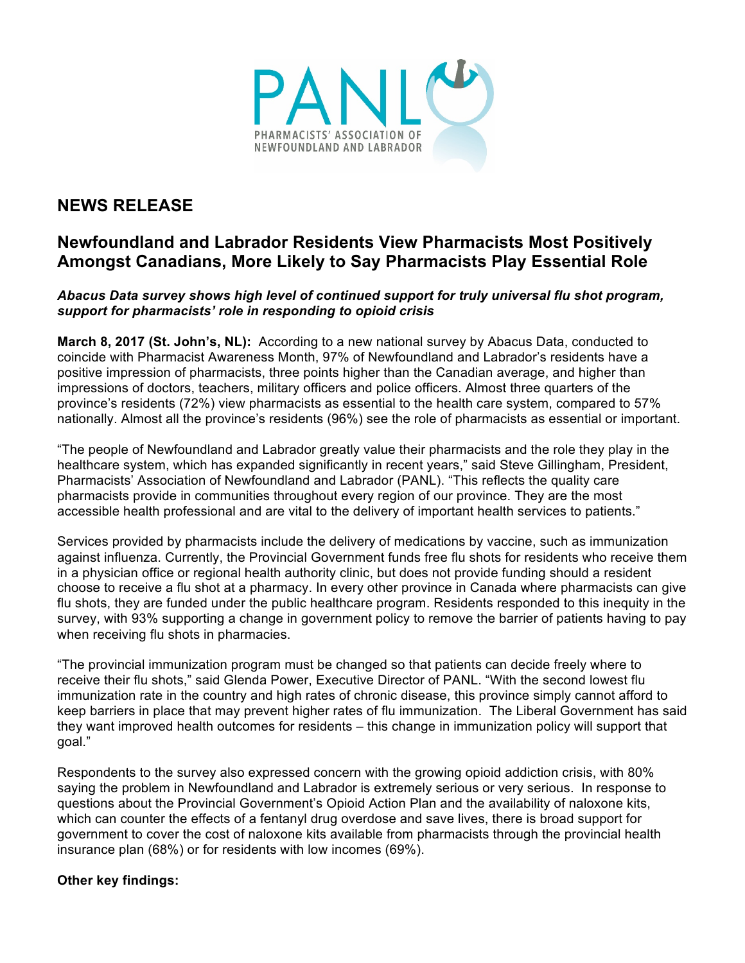

## **NEWS RELEASE**

## **Newfoundland and Labrador Residents View Pharmacists Most Positively Amongst Canadians, More Likely to Say Pharmacists Play Essential Role**

*Abacus Data survey shows high level of continued support for truly universal flu shot program, support for pharmacists' role in responding to opioid crisis*

**March 8, 2017 (St. John's, NL):** According to a new national survey by Abacus Data, conducted to coincide with Pharmacist Awareness Month, 97% of Newfoundland and Labrador's residents have a positive impression of pharmacists, three points higher than the Canadian average, and higher than impressions of doctors, teachers, military officers and police officers. Almost three quarters of the province's residents (72%) view pharmacists as essential to the health care system, compared to 57% nationally. Almost all the province's residents (96%) see the role of pharmacists as essential or important.

"The people of Newfoundland and Labrador greatly value their pharmacists and the role they play in the healthcare system, which has expanded significantly in recent years," said Steve Gillingham, President, Pharmacists' Association of Newfoundland and Labrador (PANL). "This reflects the quality care pharmacists provide in communities throughout every region of our province. They are the most accessible health professional and are vital to the delivery of important health services to patients."

Services provided by pharmacists include the delivery of medications by vaccine, such as immunization against influenza. Currently, the Provincial Government funds free flu shots for residents who receive them in a physician office or regional health authority clinic, but does not provide funding should a resident choose to receive a flu shot at a pharmacy. In every other province in Canada where pharmacists can give flu shots, they are funded under the public healthcare program. Residents responded to this inequity in the survey, with 93% supporting a change in government policy to remove the barrier of patients having to pay when receiving flu shots in pharmacies.

"The provincial immunization program must be changed so that patients can decide freely where to receive their flu shots," said Glenda Power, Executive Director of PANL. "With the second lowest flu immunization rate in the country and high rates of chronic disease, this province simply cannot afford to keep barriers in place that may prevent higher rates of flu immunization. The Liberal Government has said they want improved health outcomes for residents – this change in immunization policy will support that goal."

Respondents to the survey also expressed concern with the growing opioid addiction crisis, with 80% saying the problem in Newfoundland and Labrador is extremely serious or very serious. In response to questions about the Provincial Government's Opioid Action Plan and the availability of naloxone kits, which can counter the effects of a fentanyl drug overdose and save lives, there is broad support for government to cover the cost of naloxone kits available from pharmacists through the provincial health insurance plan (68%) or for residents with low incomes (69%).

## **Other key findings:**